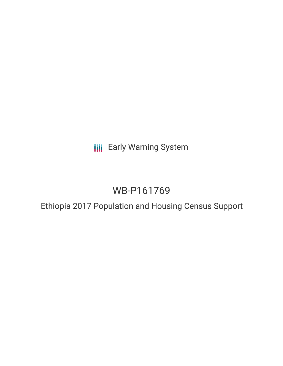**III** Early Warning System

# WB-P161769

# Ethiopia 2017 Population and Housing Census Support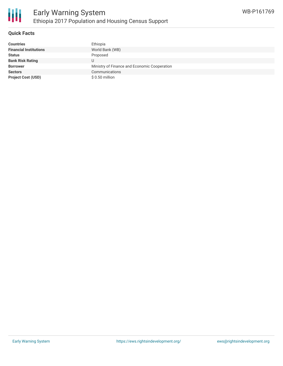

### **Quick Facts**

| <b>Countries</b>              | Ethiopia                                     |
|-------------------------------|----------------------------------------------|
| <b>Financial Institutions</b> | World Bank (WB)                              |
| <b>Status</b>                 | Proposed                                     |
| <b>Bank Risk Rating</b>       |                                              |
| <b>Borrower</b>               | Ministry of Finance and Economic Cooperation |
| <b>Sectors</b>                | Communications                               |
| <b>Project Cost (USD)</b>     | $$0.50$ million                              |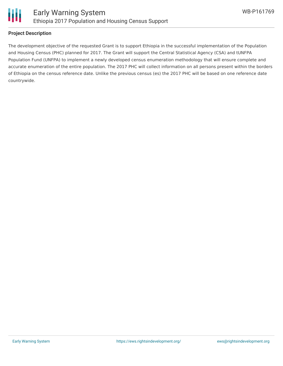

#### **Project Description**

The development objective of the requested Grant is to support Ethiopia in the successful implementation of the Population and Housing Census (PHC) planned for 2017. The Grant will support the Central Statistical Agency (CSA) and tUNFPA Population Fund (UNFPA) to implement a newly developed census enumeration methodology that will ensure complete and accurate enumeration of the entire population. The 2017 PHC will collect information on all persons present within the borders of Ethiopia on the census reference date. Unlike the previous census (es) the 2017 PHC will be based on one reference date countrywide.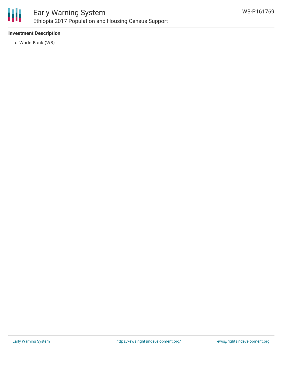

### **Investment Description**

World Bank (WB)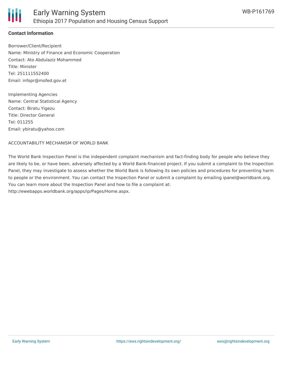### **Contact Information**

Borrower/Client/Recipient Name: Ministry of Finance and Economic Cooperation Contact: Ato Abdulaziz Mohammed Title: Minister Tel: 251111552400 Email: infopr@mofed.gov.et

Implementing Agencies Name: Central Statistical Agency Contact: Biratu Yigezu Title: Director General Tel: 011255 Email: ybiratu@yahoo.com

ACCOUNTABILITY MECHANISM OF WORLD BANK

The World Bank Inspection Panel is the independent complaint mechanism and fact-finding body for people who believe they are likely to be, or have been, adversely affected by a World Bank-financed project. If you submit a complaint to the Inspection Panel, they may investigate to assess whether the World Bank is following its own policies and procedures for preventing harm to people or the environment. You can contact the Inspection Panel or submit a complaint by emailing ipanel@worldbank.org. You can learn more about the Inspection Panel and how to file a complaint at: http://ewebapps.worldbank.org/apps/ip/Pages/Home.aspx.